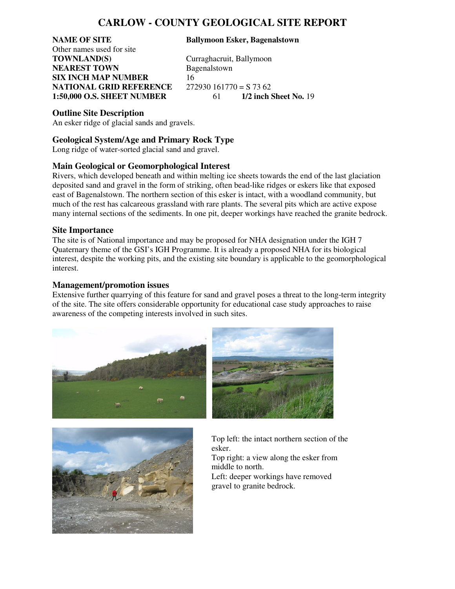# **CARLOW - COUNTY GEOLOGICAL SITE REPORT**

Other names used for site **TOWNLAND(S)** Curraghacruit, Ballymoon **NEAREST TOWN** Bagenalstown **SIX INCH MAP NUMBER** 16 **NATIONAL GRID REFERENCE** 272930 161770 = S 73 62<br>**1:50.000 O.S. SHEET NUMBER** 61 1/2 inch Sheet No. 19 **1:50,000 O.S. SHEET NUMBER** 61

#### **NAME OF SITE Ballymoon Esker, Bagenalstown**

### **Outline Site Description**

An esker ridge of glacial sands and gravels.

## **Geological System/Age and Primary Rock Type**

Long ridge of water-sorted glacial sand and gravel.

### **Main Geological or Geomorphological Interest**

Rivers, which developed beneath and within melting ice sheets towards the end of the last glaciation deposited sand and gravel in the form of striking, often bead-like ridges or eskers like that exposed east of Bagenalstown. The northern section of this esker is intact, with a woodland community, but much of the rest has calcareous grassland with rare plants. The several pits which are active expose many internal sections of the sediments. In one pit, deeper workings have reached the granite bedrock.

#### **Site Importance**

The site is of National importance and may be proposed for NHA designation under the IGH 7 Quaternary theme of the GSI's IGH Programme. It is already a proposed NHA for its biological interest, despite the working pits, and the existing site boundary is applicable to the geomorphological interest.

#### **Management/promotion issues**

Extensive further quarrying of this feature for sand and gravel poses a threat to the long-term integrity of the site. The site offers considerable opportunity for educational case study approaches to raise awareness of the competing interests involved in such sites.





Top left: the intact northern section of the esker.

Top right: a view along the esker from middle to north. Left: deeper workings have removed

gravel to granite bedrock.